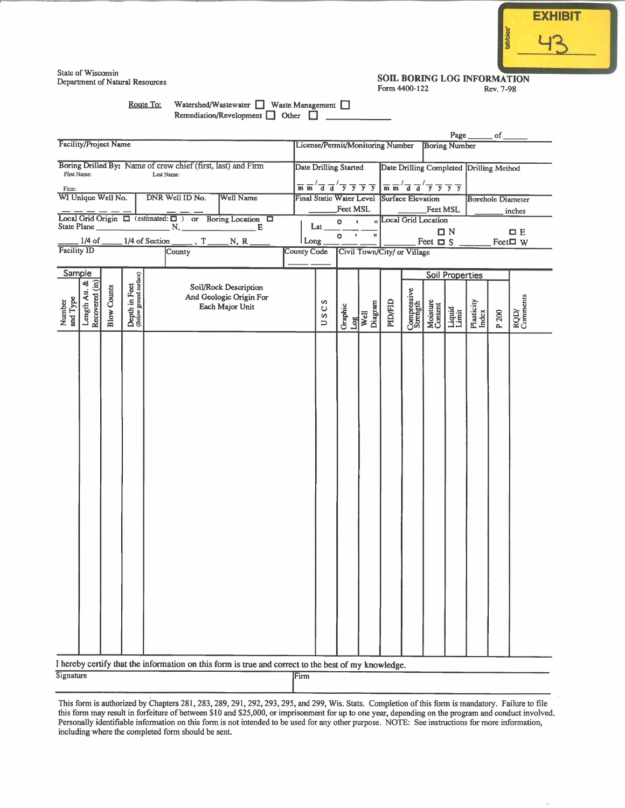| <b>EXHIBIT</b> |
|----------------|
|                |
|                |
|                |

State of Wisconsin Department of Natural Resources

#### SOIL BORING LOG INFORMATION Form 4400-122 Rev. 7-98

Route To:

Watershed/Wastewater Waste Management Remediation/Revelopment  $\Box$  Other  $\Box$ 

|                                                                             |                                                                                                                           |                                                                                                     |                                 |                             |                                                                                                                                                |                           |                                         |         | Page _______ of _        |                      |                 |                     |                                 |                  |
|-----------------------------------------------------------------------------|---------------------------------------------------------------------------------------------------------------------------|-----------------------------------------------------------------------------------------------------|---------------------------------|-----------------------------|------------------------------------------------------------------------------------------------------------------------------------------------|---------------------------|-----------------------------------------|---------|--------------------------|----------------------|-----------------|---------------------|---------------------------------|------------------|
| <b>Facility/Project Name</b>                                                | License/Permit/Monitoring Number<br><b>Boring Number</b>                                                                  |                                                                                                     |                                 |                             |                                                                                                                                                |                           |                                         |         |                          |                      |                 |                     |                                 |                  |
| Boring Drilled By: Name of crew chief (first, last) and Firm                | Date Drilling Started                                                                                                     |                                                                                                     |                                 |                             |                                                                                                                                                |                           | Date Drilling Completed Drilling Method |         |                          |                      |                 |                     |                                 |                  |
| First Name:                                                                 | $\overline{m}$ $\overline{m}'$ $\overline{d}$ $\overline{d}'$ $\overline{y}$ $\overline{y}$ $\overline{y}$ $\overline{y}$ |                                                                                                     |                                 |                             |                                                                                                                                                |                           |                                         |         |                          |                      |                 |                     |                                 |                  |
| Firm:<br>WI Unique Well No.                                                 |                                                                                                                           |                                                                                                     | <b>Final Static Water Level</b> |                             | $\overline{m}$ $\overline{m}'$ $\overline{d}$ $\overline{d}'$ $\overline{y}$ $\overline{y}$ $\overline{y}$ $\overline{y}$<br>Surface Elevation |                           |                                         |         | <b>Borehole Diameter</b> |                      |                 |                     |                                 |                  |
|                                                                             |                                                                                                                           | Feet MSL                                                                                            |                                 |                             |                                                                                                                                                |                           | Feet MSL                                |         |                          |                      | inches          |                     |                                 |                  |
| Local Grid Origin $\Box$ (estimated: $\Box$ ) or Boring Location $\Box$     |                                                                                                                           |                                                                                                     | Lat                             | $\mathbf{F}$<br>$\bullet$   |                                                                                                                                                |                           | <b>n</b> Local Grid Location            |         |                          |                      |                 |                     |                                 |                  |
| $1/4$ of Section<br>$1/4$ of $\_$<br>$\overline{r}$ , T $\overline{r}$ N, R |                                                                                                                           |                                                                                                     |                                 |                             | $ $ Long $_{-}$                                                                                                                                | o<br>$\pmb{\mathfrak{g}}$ | $\mathbf{u}$                            |         |                          | Feet $\Box$ S $\Box$ | $\Box N$        |                     | $\square$ E<br>Feet $\square$ W |                  |
| Facility ID                                                                 |                                                                                                                           | <b>County Code</b>                                                                                  |                                 | Civil Town/City/ or Village |                                                                                                                                                |                           |                                         |         |                          |                      |                 |                     |                                 |                  |
|                                                                             |                                                                                                                           |                                                                                                     |                                 |                             |                                                                                                                                                |                           |                                         |         |                          |                      |                 |                     |                                 |                  |
| Sample                                                                      |                                                                                                                           | Soil/Rock Description<br>And Geologic Origin For                                                    |                                 |                             | s<br>Ü<br>S<br>$\Box$                                                                                                                          | Graphic<br>Log            |                                         | PID/FID | <b>Soil Properties</b>   |                      |                 |                     |                                 |                  |
| <b>Blow Counts</b>                                                          | Depth in Feet<br>(Below ground surface)                                                                                   |                                                                                                     |                                 |                             |                                                                                                                                                |                           |                                         |         | Compressive<br>Strength  | Moisture<br>Content  | Liquid<br>Limit | Plasticity<br>Index |                                 |                  |
| and Type<br>Number                                                          |                                                                                                                           | Each Major Unit                                                                                     |                                 |                             |                                                                                                                                                |                           | Diagram                                 |         |                          |                      |                 |                     |                                 |                  |
| Length Att. &                                                               |                                                                                                                           |                                                                                                     |                                 |                             |                                                                                                                                                |                           | Well                                    |         |                          |                      |                 |                     | P 200                           | RQD/<br>Comments |
|                                                                             |                                                                                                                           |                                                                                                     |                                 |                             |                                                                                                                                                |                           |                                         |         |                          |                      |                 |                     |                                 |                  |
|                                                                             |                                                                                                                           |                                                                                                     |                                 |                             |                                                                                                                                                |                           |                                         |         |                          |                      |                 |                     |                                 |                  |
|                                                                             |                                                                                                                           |                                                                                                     |                                 |                             |                                                                                                                                                |                           |                                         |         |                          |                      |                 |                     |                                 |                  |
|                                                                             |                                                                                                                           |                                                                                                     |                                 |                             |                                                                                                                                                |                           |                                         |         |                          |                      |                 |                     |                                 |                  |
|                                                                             |                                                                                                                           |                                                                                                     |                                 |                             |                                                                                                                                                |                           |                                         |         |                          |                      |                 |                     |                                 |                  |
|                                                                             |                                                                                                                           |                                                                                                     |                                 |                             |                                                                                                                                                |                           |                                         |         |                          |                      |                 |                     |                                 |                  |
|                                                                             |                                                                                                                           |                                                                                                     |                                 |                             |                                                                                                                                                |                           |                                         |         |                          |                      |                 |                     |                                 |                  |
|                                                                             |                                                                                                                           |                                                                                                     |                                 |                             |                                                                                                                                                |                           |                                         |         |                          |                      |                 |                     |                                 |                  |
|                                                                             |                                                                                                                           |                                                                                                     |                                 |                             |                                                                                                                                                |                           |                                         |         |                          |                      |                 |                     |                                 |                  |
|                                                                             |                                                                                                                           |                                                                                                     |                                 |                             |                                                                                                                                                |                           |                                         |         |                          |                      |                 |                     |                                 |                  |
|                                                                             |                                                                                                                           |                                                                                                     |                                 |                             |                                                                                                                                                |                           |                                         |         |                          |                      |                 |                     |                                 |                  |
|                                                                             |                                                                                                                           |                                                                                                     |                                 |                             |                                                                                                                                                |                           |                                         |         |                          |                      |                 |                     |                                 |                  |
|                                                                             |                                                                                                                           |                                                                                                     |                                 |                             |                                                                                                                                                |                           |                                         |         |                          |                      |                 |                     |                                 |                  |
|                                                                             |                                                                                                                           |                                                                                                     |                                 |                             |                                                                                                                                                |                           |                                         |         |                          |                      |                 |                     |                                 |                  |
|                                                                             |                                                                                                                           |                                                                                                     |                                 |                             |                                                                                                                                                |                           |                                         |         |                          |                      |                 |                     |                                 |                  |
|                                                                             |                                                                                                                           |                                                                                                     |                                 |                             |                                                                                                                                                |                           |                                         |         |                          |                      |                 |                     |                                 |                  |
|                                                                             |                                                                                                                           |                                                                                                     |                                 |                             |                                                                                                                                                |                           |                                         |         |                          |                      |                 |                     |                                 |                  |
|                                                                             |                                                                                                                           |                                                                                                     |                                 |                             |                                                                                                                                                |                           |                                         |         |                          |                      |                 |                     |                                 |                  |
|                                                                             |                                                                                                                           |                                                                                                     |                                 |                             |                                                                                                                                                |                           |                                         |         |                          |                      |                 |                     |                                 |                  |
|                                                                             |                                                                                                                           |                                                                                                     |                                 |                             |                                                                                                                                                |                           |                                         |         |                          |                      |                 |                     |                                 |                  |
|                                                                             |                                                                                                                           |                                                                                                     |                                 |                             |                                                                                                                                                |                           |                                         |         |                          |                      |                 |                     |                                 |                  |
|                                                                             |                                                                                                                           |                                                                                                     |                                 |                             |                                                                                                                                                |                           |                                         |         |                          |                      |                 |                     |                                 |                  |
|                                                                             |                                                                                                                           |                                                                                                     |                                 |                             |                                                                                                                                                |                           |                                         |         |                          |                      |                 |                     |                                 |                  |
|                                                                             |                                                                                                                           |                                                                                                     |                                 |                             |                                                                                                                                                |                           |                                         |         |                          |                      |                 |                     |                                 |                  |
| Signature                                                                   |                                                                                                                           | I hereby certify that the information on this form is true and correct to the best of my knowledge. |                                 | <b>IFirm</b>                |                                                                                                                                                |                           |                                         |         |                          |                      |                 |                     |                                 |                  |

This form is authorized by Chapters 281, 283, 289, 291, 292, 293, 295, and 299, Wis. Stats. Completion of this form is mandatory. Failure to file this form may result in forfeiture of between \$10 and \$25,000, or imprisonment for up to one year, depending on the program and conduct involved. Personally identifiable information on this form is not intended to be used for any other purpose. NOTE: See instructions for more information, including where the completed form should be sent.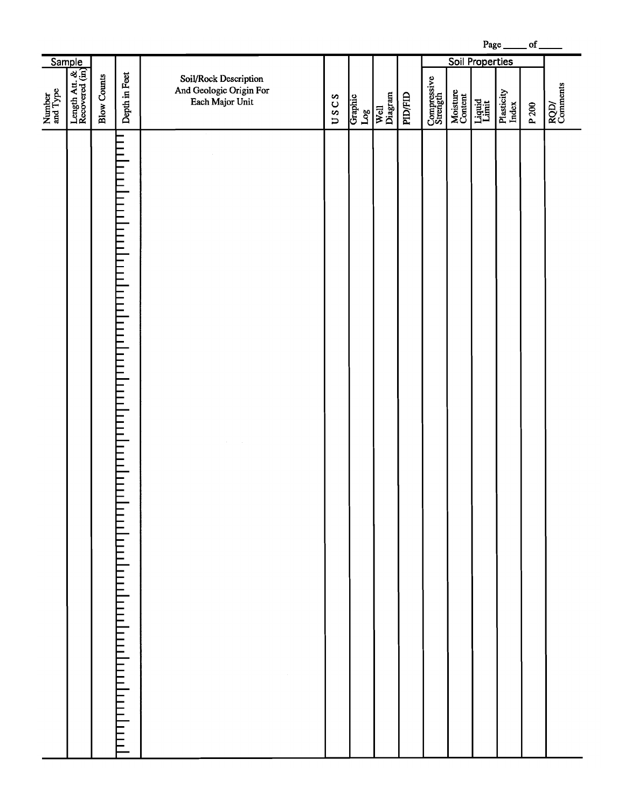Page  $\rule{1em}{0.15mm}$  of  $\rule{1.5mm}{0.15mm}$ 

|                    |                                               |                    |                                                                                                                                             |                                                                     |      |                           |                 |                | <b>Soil Properties</b>  |                     |                 |                     |       |                  |
|--------------------|-----------------------------------------------|--------------------|---------------------------------------------------------------------------------------------------------------------------------------------|---------------------------------------------------------------------|------|---------------------------|-----------------|----------------|-------------------------|---------------------|-----------------|---------------------|-------|------------------|
| Number<br>and Type | Sample<br>Length Att. & Jan<br>Recovered (in) | <b>Blow Counts</b> | Depth in Feet                                                                                                                               | Soil/Rock Description<br>And Geologic Origin For<br>Each Major Unit | USCS | Graphic<br>$\mathbf{Log}$ | Well<br>Diagram | <b>PID/FID</b> | Compressive<br>Strength | Moisture<br>Content | Liquid<br>Limit | Plasticity<br>Index | P 200 | RQD/<br>Comments |
|                    |                                               |                    | $\equiv$<br>i<br>F<br>F<br><b>ENTERNIE</b><br>FIELE<br>$\frac{1}{2}$<br>$\equiv$<br>i<br>F<br>$\overline{111}$<br>ппшп<br>առնականականիականի |                                                                     |      |                           |                 |                |                         |                     |                 |                     |       |                  |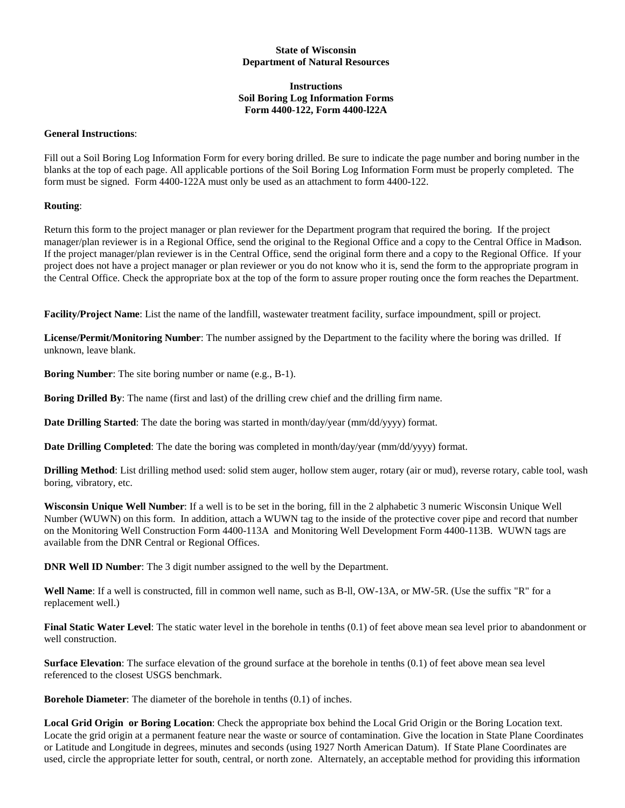# **State of Wisconsin Department of Natural Resources**

# **Instructions Soil Boring Log Information Forms Form 4400-122, Form 4400-l22A**

### **General Instructions**:

Fill out a Soil Boring Log Information Form for every boring drilled. Be sure to indicate the page number and boring number in the blanks at the top of each page. All applicable portions of the Soil Boring Log Information Form must be properly completed. The form must be signed. Form 4400-122A must only be used as an attachment to form 4400-122.

# **Routing**:

Return this form to the project manager or plan reviewer for the Department program that required the boring. If the project manager/plan reviewer is in a Regional Office, send the original to the Regional Office and a copy to the Central Office in Madison. If the project manager/plan reviewer is in the Central Office, send the original form there and a copy to the Regional Office. If your project does not have a project manager or plan reviewer or you do not know who it is, send the form to the appropriate program in the Central Office. Check the appropriate box at the top of the form to assure proper routing once the form reaches the Department.

**Facility/Project Name**: List the name of the landfill, wastewater treatment facility, surface impoundment, spill or project.

**License/Permit/Monitoring Number**: The number assigned by the Department to the facility where the boring was drilled. If unknown, leave blank.

**Boring Number**: The site boring number or name (e.g., B-1).

**Boring Drilled By**: The name (first and last) of the drilling crew chief and the drilling firm name.

**Date Drilling Started:** The date the boring was started in month/day/year (mm/dd/yyyy) format.

**Date Drilling Completed**: The date the boring was completed in month/day/year (mm/dd/yyyy) format.

**Drilling Method**: List drilling method used: solid stem auger, hollow stem auger, rotary (air or mud), reverse rotary, cable tool, wash boring, vibratory, etc.

**Wisconsin Unique Well Number**: If a well is to be set in the boring, fill in the 2 alphabetic 3 numeric Wisconsin Unique Well Number (WUWN) on this form. In addition, attach a WUWN tag to the inside of the protective cover pipe and record that number on the Monitoring Well Construction Form 4400-113A and Monitoring Well Development Form 4400-113B. WUWN tags are available from the DNR Central or Regional Offices.

**DNR Well ID Number**: The 3 digit number assigned to the well by the Department.

**Well Name**: If a well is constructed, fill in common well name, such as B-ll, OW-13A, or MW-5R. (Use the suffix "R" for a replacement well.)

**Final Static Water Level**: The static water level in the borehole in tenths (0.1) of feet above mean sea level prior to abandonment or well construction.

**Surface Elevation**: The surface elevation of the ground surface at the borehole in tenths (0.1) of feet above mean sea level referenced to the closest USGS benchmark.

**Borehole Diameter**: The diameter of the borehole in tenths (0.1) of inches.

**Local Grid Origin or Boring Location**: Check the appropriate box behind the Local Grid Origin or the Boring Location text. Locate the grid origin at a permanent feature near the waste or source of contamination. Give the location in State Plane Coordinates or Latitude and Longitude in degrees, minutes and seconds (using 1927 North American Datum). If State Plane Coordinates are used, circle the appropriate letter for south, central, or north zone. Alternately, an acceptable method for providing this information